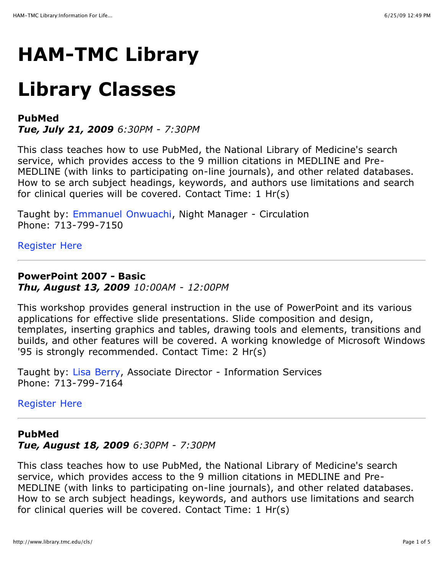## **HAM-TMC Library**

# **Library Classes**

## **PubMed**

*Tue, July 21, 2009 6:30PM - 7:30PM*

This class teaches how to use PubMed, the National Library of Medicine's search service, which provides access to the 9 million citations in MEDLINE and Pre-MEDLINE (with links to participating on-line journals), and other related databases. How to se arch subject headings, keywords, and authors use limitations and search for clinical queries will be covered. Contact Time: 1 Hr(s)

Taught by: [Emmanuel Onwuachi](http://www.library.tmc.edu/forms/email.cfm?To=emmanuel.onwuachi@exch.library.tmc.edu), Night Manager - Circulation Phone: 713-799-7150

#### [Register Here](http://www.library.tmc.edu/cls/register.cfm?ClassID=142)

## **PowerPoint 2007 - Basic**  *Thu, August 13, 2009 10:00AM - 12:00PM*

This workshop provides general instruction in the use of PowerPoint and its various applications for effective slide presentations. Slide composition and design, templates, inserting graphics and tables, drawing tools and elements, transitions and builds, and other features will be covered. A working knowledge of Microsoft Windows '95 is strongly recommended. Contact Time: 2 Hr(s)

Taught by: [Lisa Berry](http://www.library.tmc.edu/forms/email.cfm?To=lisa.berry@exch.library.tmc.edu), Associate Director - Information Services Phone: 713-799-7164

#### [Register Here](http://www.library.tmc.edu/cls/register.cfm?ClassID=149)

## **PubMed** *Tue, August 18, 2009 6:30PM - 7:30PM*

This class teaches how to use PubMed, the National Library of Medicine's search service, which provides access to the 9 million citations in MEDLINE and Pre-MEDLINE (with links to participating on-line journals), and other related databases. How to se arch subject headings, keywords, and authors use limitations and search for clinical queries will be covered. Contact Time: 1 Hr(s)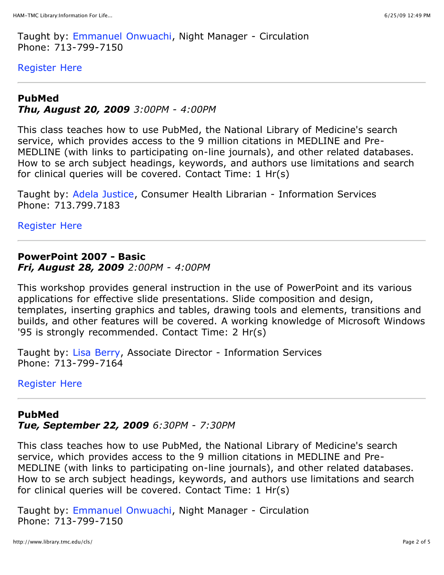Taught by: [Emmanuel Onwuachi](http://www.library.tmc.edu/forms/email.cfm?To=emmanuel.onwuachi@exch.library.tmc.edu), Night Manager - Circulation Phone: 713-799-7150

[Register Here](http://www.library.tmc.edu/cls/register.cfm?ClassID=143)

#### **PubMed**

*Thu, August 20, 2009 3:00PM - 4:00PM*

This class teaches how to use PubMed, the National Library of Medicine's search service, which provides access to the 9 million citations in MEDLINE and Pre-MEDLINE (with links to participating on-line journals), and other related databases. How to se arch subject headings, keywords, and authors use limitations and search for clinical queries will be covered. Contact Time: 1 Hr(s)

Taught by: [Adela Justice](http://www.library.tmc.edu/forms/email.cfm?To=adela.justice@exch.library.tmc.edu), Consumer Health Librarian - Information Services Phone: 713.799.7183

[Register Here](http://www.library.tmc.edu/cls/register.cfm?ClassID=154)

#### **PowerPoint 2007 - Basic**  *Fri, August 28, 2009 2:00PM - 4:00PM*

This workshop provides general instruction in the use of PowerPoint and its various applications for effective slide presentations. Slide composition and design, templates, inserting graphics and tables, drawing tools and elements, transitions and builds, and other features will be covered. A working knowledge of Microsoft Windows '95 is strongly recommended. Contact Time: 2 Hr(s)

Taught by: [Lisa Berry](http://www.library.tmc.edu/forms/email.cfm?To=lisa.berry@exch.library.tmc.edu), Associate Director - Information Services Phone: 713-799-7164

[Register Here](http://www.library.tmc.edu/cls/register.cfm?ClassID=150)

#### **PubMed**

*Tue, September 22, 2009 6:30PM - 7:30PM*

This class teaches how to use PubMed, the National Library of Medicine's search service, which provides access to the 9 million citations in MEDLINE and Pre-MEDLINE (with links to participating on-line journals), and other related databases. How to se arch subject headings, keywords, and authors use limitations and search for clinical queries will be covered. Contact Time: 1 Hr(s)

Taught by: [Emmanuel Onwuachi](http://www.library.tmc.edu/forms/email.cfm?To=emmanuel.onwuachi@exch.library.tmc.edu), Night Manager - Circulation Phone: 713-799-7150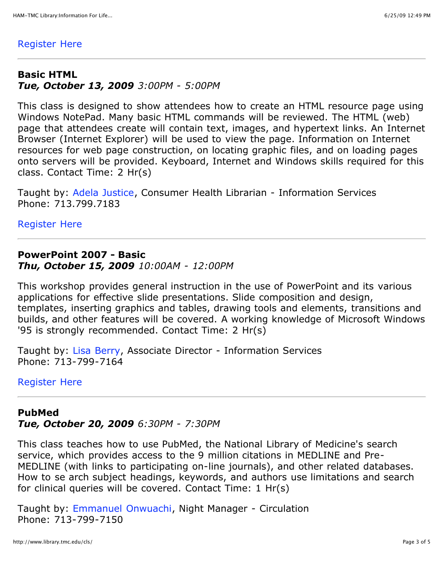#### [Register Here](http://www.library.tmc.edu/cls/register.cfm?ClassID=144)

#### **Basic HTML** *Tue, October 13, 2009 3:00PM - 5:00PM*

This class is designed to show attendees how to create an HTML resource page using Windows NotePad. Many basic HTML commands will be reviewed. The HTML (web) page that attendees create will contain text, images, and hypertext links. An Internet Browser (Internet Explorer) will be used to view the page. Information on Internet resources for web page construction, on locating graphic files, and on loading pages onto servers will be provided. Keyboard, Internet and Windows skills required for this class. Contact Time: 2 Hr(s)

Taught by: [Adela Justice](http://www.library.tmc.edu/forms/email.cfm?To=adela.justice@exch.library.tmc.edu), Consumer Health Librarian - Information Services Phone: 713.799.7183

[Register Here](http://www.library.tmc.edu/cls/register.cfm?ClassID=156)

#### **PowerPoint 2007 - Basic**  *Thu, October 15, 2009 10:00AM - 12:00PM*

This workshop provides general instruction in the use of PowerPoint and its various applications for effective slide presentations. Slide composition and design, templates, inserting graphics and tables, drawing tools and elements, transitions and builds, and other features will be covered. A working knowledge of Microsoft Windows '95 is strongly recommended. Contact Time: 2 Hr(s)

Taught by: [Lisa Berry](http://www.library.tmc.edu/forms/email.cfm?To=lisa.berry@exch.library.tmc.edu), Associate Director - Information Services Phone: 713-799-7164

[Register Here](http://www.library.tmc.edu/cls/register.cfm?ClassID=151)

#### **PubMed**

*Tue, October 20, 2009 6:30PM - 7:30PM*

This class teaches how to use PubMed, the National Library of Medicine's search service, which provides access to the 9 million citations in MEDLINE and Pre-MEDLINE (with links to participating on-line journals), and other related databases. How to se arch subject headings, keywords, and authors use limitations and search for clinical queries will be covered. Contact Time: 1 Hr(s)

Taught by: [Emmanuel Onwuachi](http://www.library.tmc.edu/forms/email.cfm?To=emmanuel.onwuachi@exch.library.tmc.edu), Night Manager - Circulation Phone: 713-799-7150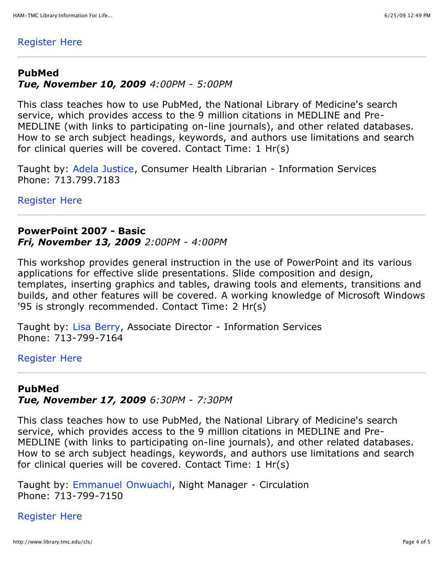#### [Register Here](http://www.library.tmc.edu/cls/register.cfm?ClassID=145)

#### **PubMed**

### *Tue, November 10, 2009 4:00PM - 5:00PM*

This class teaches how to use PubMed, the National Library of Medicine's search service, which provides access to the 9 million citations in MEDLINE and Pre-MEDLINE (with links to participating on-line journals), and other related databases. How to se arch subject headings, keywords, and authors use limitations and search for clinical queries will be covered. Contact Time: 1 Hr(s)

Taught by: [Adela Justice](http://www.library.tmc.edu/forms/email.cfm?To=adela.justice@exch.library.tmc.edu), Consumer Health Librarian - Information Services Phone: 713.799.7183

[Register Here](http://www.library.tmc.edu/cls/register.cfm?ClassID=155)

### **PowerPoint 2007 - Basic**  *Fri, November 13, 2009 2:00PM - 4:00PM*

This workshop provides general instruction in the use of PowerPoint and its various applications for effective slide presentations. Slide composition and design, templates, inserting graphics and tables, drawing tools and elements, transitions and builds, and other features will be covered. A working knowledge of Microsoft Windows '95 is strongly recommended. Contact Time: 2 Hr(s)

Taught by: [Lisa Berry](http://www.library.tmc.edu/forms/email.cfm?To=lisa.berry@exch.library.tmc.edu), Associate Director - Information Services Phone: 713-799-7164

#### [Register Here](http://www.library.tmc.edu/cls/register.cfm?ClassID=153)

## **PubMed**

*Tue, November 17, 2009 6:30PM - 7:30PM*

This class teaches how to use PubMed, the National Library of Medicine's search service, which provides access to the 9 million citations in MEDLINE and Pre-MEDLINE (with links to participating on-line journals), and other related databases. How to se arch subject headings, keywords, and authors use limitations and search for clinical queries will be covered. Contact Time: 1 Hr(s)

Taught by: [Emmanuel Onwuachi](http://www.library.tmc.edu/forms/email.cfm?To=emmanuel.onwuachi@exch.library.tmc.edu), Night Manager - Circulation Phone: 713-799-7150

#### [Register Here](http://www.library.tmc.edu/cls/register.cfm?ClassID=146)